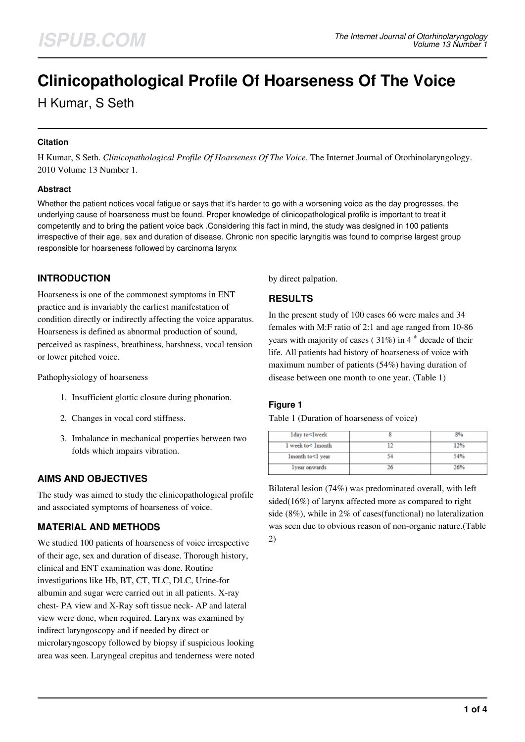# **Clinicopathological Profile Of Hoarseness Of The Voice**

H Kumar, S Seth

#### **Citation**

H Kumar, S Seth. *Clinicopathological Profile Of Hoarseness Of The Voice*. The Internet Journal of Otorhinolaryngology. 2010 Volume 13 Number 1.

#### **Abstract**

Whether the patient notices vocal fatigue or says that it's harder to go with a worsening voice as the day progresses, the underlying cause of hoarseness must be found. Proper knowledge of clinicopathological profile is important to treat it competently and to bring the patient voice back .Considering this fact in mind, the study was designed in 100 patients irrespective of their age, sex and duration of disease. Chronic non specific laryngitis was found to comprise largest group responsible for hoarseness followed by carcinoma larynx

## **INTRODUCTION**

Hoarseness is one of the commonest symptoms in ENT practice and is invariably the earliest manifestation of condition directly or indirectly affecting the voice apparatus. Hoarseness is defined as abnormal production of sound, perceived as raspiness, breathiness, harshness, vocal tension or lower pitched voice.

Pathophysiology of hoarseness

- 1. Insufficient glottic closure during phonation.
- 2. Changes in vocal cord stiffness.
- 3. Imbalance in mechanical properties between two folds which impairs vibration.

## **AIMS AND OBJECTIVES**

The study was aimed to study the clinicopathological profile and associated symptoms of hoarseness of voice.

## **MATERIAL AND METHODS**

We studied 100 patients of hoarseness of voice irrespective of their age, sex and duration of disease. Thorough history, clinical and ENT examination was done. Routine investigations like Hb, BT, CT, TLC, DLC, Urine-for albumin and sugar were carried out in all patients. X-ray chest- PA view and X-Ray soft tissue neck- AP and lateral view were done, when required. Larynx was examined by indirect laryngoscopy and if needed by direct or microlaryngoscopy followed by biopsy if suspicious looking area was seen. Laryngeal crepitus and tenderness were noted by direct palpation.

## **RESULTS**

In the present study of 100 cases 66 were males and 34 females with M:F ratio of 2:1 and age ranged from 10-86 years with majority of cases ( $31\%$ ) in 4<sup>th</sup> decade of their life. All patients had history of hoarseness of voice with maximum number of patients (54%) having duration of disease between one month to one year. (Table 1)

#### **Figure 1**

Table 1 (Duration of hoarseness of voice)

| lday to <lweek< th=""><th>8%</th></lweek<> | 8%  |
|--------------------------------------------|-----|
| 1 week to< 1 month                         | 12% |
| lmonth to<1 year                           | 54% |
| lyear onwards                              | 26% |

Bilateral lesion (74%) was predominated overall, with left sided(16%) of larynx affected more as compared to right side (8%), while in 2% of cases(functional) no lateralization was seen due to obvious reason of non-organic nature.(Table 2)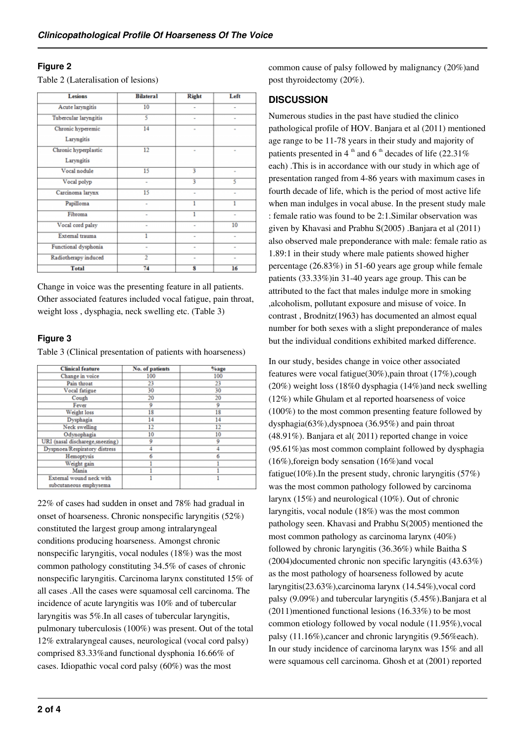## **Figure 2**

Table 2 (Lateralisation of lesions)

| <b>Lesions</b>                     | <b>Bilateral</b> | <b>Right</b>   | Left |
|------------------------------------|------------------|----------------|------|
| Acute laryngitis                   | 10               | -              | ٠    |
| Tubercular laryngitis              | 5                |                |      |
| Chronic hyperemic<br>Laryngitis    | 14               |                | ×    |
| Chronic hyperplastic<br>Laryngitis | 12               | $\blacksquare$ | ۰    |
| Vocal nodule                       | 15               | 3              | ٠    |
| Vocal polyp                        | ۰                | 3              | 5    |
| Carcinoma larynx                   | 15               | ۰              | ٠    |
| Papilloma                          | ٠                | 1              |      |
| Fibroma                            |                  | 1              |      |
| Vocal cord palsy                   | ٠                | ۰              | 10   |
| External trauma                    | 1                | ۰              | ٠    |
| Functional dysphonia               | ×                | ×              | ×    |
| Radiotherapy induced               | $\mathfrak{D}$   |                |      |
| <b>Total</b>                       | 74               | 8              | 16   |

Change in voice was the presenting feature in all patients. Other associated features included vocal fatigue, pain throat, weight loss , dysphagia, neck swelling etc. (Table 3)

## **Figure 3**

Table 3 (Clinical presentation of patients with hoarseness)

| <b>Clinical feature</b>          | No. of patients | %age |
|----------------------------------|-----------------|------|
| Change in voice                  | 100             | 100  |
| Pain throat                      | 23              | 23   |
| Vocal fatigue                    | 30              | 30   |
| Cough                            | 20              | 20   |
| Fever                            | 9               | 9    |
| Weight loss                      | 18              | 18   |
| Dysphagia                        | 14              | 14   |
| Neck swelling                    | 12              | 12   |
| Odynophagia                      | 10              | 10   |
| URI (nasal discharege, sneezing) | ۰               | ۰    |
| Dyspnoea/Respiratory distress    |                 |      |
| Hemoptysis                       |                 |      |
| Weight gain                      |                 |      |
| Mania                            |                 |      |
| External wound neck with         |                 |      |
| subcutaneous emphysema           |                 |      |

22% of cases had sudden in onset and 78% had gradual in onset of hoarseness. Chronic nonspecific laryngitis (52%) constituted the largest group among intralaryngeal conditions producing hoarseness. Amongst chronic nonspecific laryngitis, vocal nodules (18%) was the most common pathology constituting 34.5% of cases of chronic nonspecific laryngitis. Carcinoma larynx constituted 15% of all cases .All the cases were squamosal cell carcinoma. The incidence of acute laryngitis was 10% and of tubercular laryngitis was 5%.In all cases of tubercular laryngitis, pulmonary tuberculosis (100%) was present. Out of the total 12% extralaryngeal causes, neurological (vocal cord palsy) comprised 83.33%and functional dysphonia 16.66% of cases. Idiopathic vocal cord palsy (60%) was the most

common cause of palsy followed by malignancy (20%)and post thyroidectomy (20%).

# **DISCUSSION**

Numerous studies in the past have studied the clinico pathological profile of HOV. Banjara et al (2011) mentioned age range to be 11-78 years in their study and majority of patients presented in 4<sup>th</sup> and 6<sup>th</sup> decades of life (22.31%) each) .This is in accordance with our study in which age of presentation ranged from 4-86 years with maximum cases in fourth decade of life, which is the period of most active life when man indulges in vocal abuse. In the present study male : female ratio was found to be 2:1.Similar observation was given by Khavasi and Prabhu S(2005) .Banjara et al (2011) also observed male preponderance with male: female ratio as 1.89:1 in their study where male patients showed higher percentage (26.83%) in 51-60 years age group while female patients (33.33%)in 31-40 years age group. This can be attributed to the fact that males indulge more in smoking ,alcoholism, pollutant exposure and misuse of voice. In contrast , Brodnitz(1963) has documented an almost equal number for both sexes with a slight preponderance of males but the individual conditions exhibited marked difference.

In our study, besides change in voice other associated features were vocal fatigue(30%),pain throat (17%),cough (20%) weight loss (18%0 dysphagia (14%)and neck swelling (12%) while Ghulam et al reported hoarseness of voice (100%) to the most common presenting feature followed by dysphagia(63%),dyspnoea (36.95%) and pain throat (48.91%). Banjara et al( 2011) reported change in voice (95.61%)as most common complaint followed by dysphagia (16%),foreign body sensation (16%)and vocal fatigue(10%).In the present study, chronic laryngitis (57%) was the most common pathology followed by carcinoma larynx (15%) and neurological (10%). Out of chronic laryngitis, vocal nodule (18%) was the most common pathology seen. Khavasi and Prabhu S(2005) mentioned the most common pathology as carcinoma larynx (40%) followed by chronic laryngitis (36.36%) while Baitha S (2004)documented chronic non specific laryngitis (43.63%) as the most pathology of hoarseness followed by acute laryngitis(23.63%),carcinoma larynx (14.54%),vocal cord palsy (9.09%) and tubercular laryngitis (5.45%).Banjara et al (2011)mentioned functional lesions (16.33%) to be most common etiology followed by vocal nodule (11.95%),vocal palsy (11.16%),cancer and chronic laryngitis (9.56%each). In our study incidence of carcinoma larynx was 15% and all were squamous cell carcinoma. Ghosh et at (2001) reported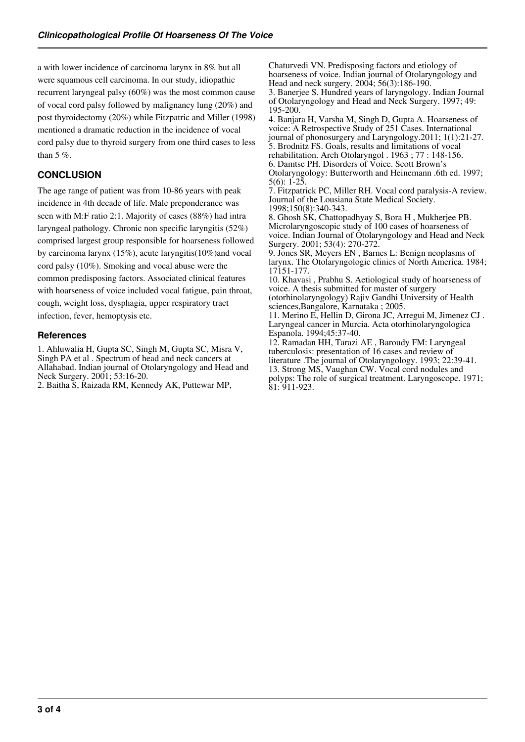a with lower incidence of carcinoma larynx in 8% but all were squamous cell carcinoma. In our study, idiopathic recurrent laryngeal palsy (60%) was the most common cause of vocal cord palsy followed by malignancy lung (20%) and post thyroidectomy (20%) while Fitzpatric and Miller (1998) mentioned a dramatic reduction in the incidence of vocal cord palsy due to thyroid surgery from one third cases to less than 5 %.

## **CONCLUSION**

The age range of patient was from 10-86 years with peak incidence in 4th decade of life. Male preponderance was seen with M:F ratio 2:1. Majority of cases (88%) had intra laryngeal pathology. Chronic non specific laryngitis (52%) comprised largest group responsible for hoarseness followed by carcinoma larynx (15%), acute laryngitis(10%)and vocal cord palsy (10%). Smoking and vocal abuse were the common predisposing factors. Associated clinical features with hoarseness of voice included vocal fatigue, pain throat, cough, weight loss, dysphagia, upper respiratory tract infection, fever, hemoptysis etc.

#### **References**

1. Ahluwalia H, Gupta SC, Singh M, Gupta SC, Misra V, Singh PA et al . Spectrum of head and neck cancers at Allahabad. Indian journal of Otolaryngology and Head and Neck Surgery. 2001; 53:16-20.

2. Baitha S, Raizada RM, Kennedy AK, Puttewar MP,

Chaturvedi VN. Predisposing factors and etiology of hoarseness of voice. Indian journal of Otolaryngology and Head and neck surgery. 2004; 56(3):186-190.

3. Banerjee S. Hundred years of laryngology. Indian Journal of Otolaryngology and Head and Neck Surgery. 1997; 49: 195-200.

4. Banjara H, Varsha M, Singh D, Gupta A. Hoarseness of voice: A Retrospective Study of 251 Cases. International journal of phonosurgery and Laryngology.2011; 1(1):21-27. 5. Brodnitz FS. Goals, results and limitations of vocal rehabilitation. Arch Otolaryngol . 1963 ; 77 : 148-156. 6. Damtse PH. Disorders of Voice. Scott Brown's Otolaryngology: Butterworth and Heinemann .6th ed. 1997;  $5(6): 1-25$ 

7. Fitzpatrick PC, Miller RH. Vocal cord paralysis-A review. Journal of the Lousiana State Medical Society. 1998;150(8):340-343.

8. Ghosh SK, Chattopadhyay S, Bora H , Mukherjee PB. Microlaryngoscopic study of 100 cases of hoarseness of voice. Indian Journal of Otolaryngology and Head and Neck Surgery. 2001; 53(4): 270-272.

9. Jones SR, Meyers EN , Barnes L: Benign neoplasms of larynx. The Otolaryngologic clinics of North America. 1984; 17151-177.

10. Khavasi , Prabhu S. Aetiological study of hoarseness of voice. A thesis submitted for master of surgery (otorhinolaryngology) Rajiv Gandhi University of Health sciences,Bangalore, Karnataka ; 2005.

11. Merino E, Hellin D, Girona JC, Arregui M, Jimenez CJ . Laryngeal cancer in Murcia. Acta otorhinolaryngologica Espanola. 1994;45:37-40.

12. Ramadan HH, Tarazi AE , Baroudy FM: Laryngeal tuberculosis: presentation of 16 cases and review of literature .The journal of Otolaryngology. 1993; 22:39-41. 13. Strong MS, Vaughan CW. Vocal cord nodules and polyps: The role of surgical treatment. Laryngoscope. 1971; 81: 911-923.